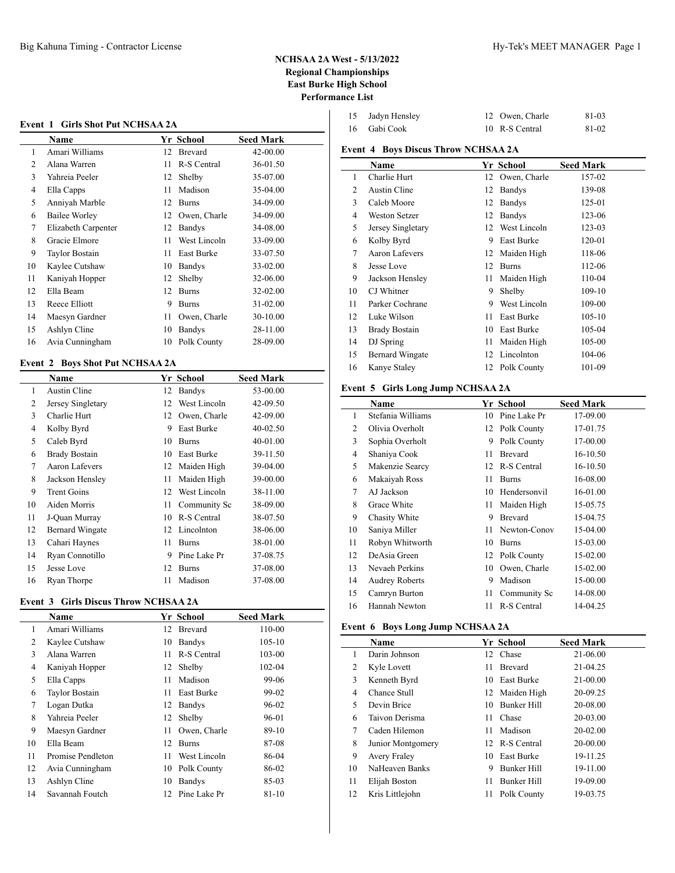| 15 Jadyn Hensley | 12 Owen, Charle | 81-03 |
|------------------|-----------------|-------|
| 16 Gabi Cook     | 10 R-S Central  | 81-02 |

# **Event 4 Boys Discus Throw NCHSAA 2A**

|    | Name                   |    | Yr School       | <b>Seed Mark</b> |
|----|------------------------|----|-----------------|------------------|
| 1  | Charlie Hurt           | 12 | Owen, Charle    | 157-02           |
| 2  | Austin Cline           | 12 | <b>Bandys</b>   | 139-08           |
| 3  | Caleb Moore            | 12 | <b>Bandys</b>   | 125-01           |
| 4  | Weston Setzer          | 12 | <b>Bandys</b>   | 123-06           |
| 5  | Jersey Singletary      |    | 12 West Lincoln | 123-03           |
| 6  | Kolby Byrd             | 9  | East Burke      | 120-01           |
| 7  | Aaron Lafevers         | 12 | Maiden High     | 118-06           |
| 8  | Jesse Love             | 12 | <b>Burns</b>    | 112-06           |
| 9  | Jackson Hensley        | 11 | Maiden High     | 110-04           |
| 10 | CJ Whitner             | 9  | Shelby          | 109-10           |
| 11 | Parker Cochrane        | 9  | West Lincoln    | 109-00           |
| 12 | Luke Wilson            | 11 | East Burke      | $105 - 10$       |
| 13 | <b>Brady Bostain</b>   | 10 | East Burke      | 105-04           |
| 14 | DJ Spring              | 11 | Maiden High     | 105-00           |
| 15 | <b>Bernard Wingate</b> | 12 | Lincolnton      | 104-06           |
| 16 | Kanye Staley           | 12 | Polk County     | 101-09           |
|    |                        |    |                 |                  |

# **Event 5 Girls Long Jump NCHSAA 2A**

|    | Name                  | Yr School |                | <b>Seed Mark</b> |
|----|-----------------------|-----------|----------------|------------------|
| 1  | Stefania Williams     | 10        | Pine Lake Pr   | 17-09.00         |
| 2  | Olivia Overholt       |           | 12 Polk County | 17-01.75         |
| 3  | Sophia Overholt       | 9         | Polk County    | 17-00.00         |
| 4  | Shaniya Cook          | 11        | <b>Brevard</b> | 16-10.50         |
| 5  | Makenzie Searcy       | 12        | R-S Central    | 16-10.50         |
| 6  | Makaiyah Ross         | 11        | Burns          | 16-08.00         |
| 7  | AJ Jackson            | 10        | Hendersonvil   | 16-01.00         |
| 8  | Grace White           | 11        | Maiden High    | 15-05.75         |
| 9  | Chasity White         | 9         | <b>Brevard</b> | 15-04.75         |
| 10 | Saniya Miller         | 11        | Newton-Conov   | 15-04.00         |
| 11 | Robyn Whitworth       | 10        | <b>Burns</b>   | 15-03.00         |
| 12 | DeAsia Green          | 12        | Polk County    | 15-02.00         |
| 13 | Nevaeh Perkins        | 10        | Owen, Charle   | 15-02.00         |
| 14 | <b>Audrey Roberts</b> | 9         | Madison        | 15-00.00         |
| 15 | Camryn Burton         | 11        | Community Sc   | 14-08.00         |
| 16 | Hannah Newton         | 11        | R-S Central    | 14-04.25         |

## **Event 6 Boys Long Jump NCHSAA 2A**

|    | <b>Name</b>         |    | Yr School          | <b>Seed Mark</b> |
|----|---------------------|----|--------------------|------------------|
|    | Darin Johnson       |    | 12 Chase           | 21-06.00         |
| 2  | Kyle Lovett         | 11 | <b>Brevard</b>     | 21-04.25         |
| 3  | Kenneth Byrd        | 10 | East Burke         | 21-00.00         |
| 4  | Chance Stull        |    | 12 Maiden High     | 20-09.25         |
| 5  | Devin Brice         | 10 | Bunker Hill        | 20-08.00         |
| 6  | Taivon Derisma      | 11 | Chase              | 20-03.00         |
| 7  | Caden Hilemon       | 11 | Madison            | $20 - 02.00$     |
| 8  | Junior Montgomery   |    | 12 R-S Central     | 20-00.00         |
| 9  | <b>Avery Fraley</b> | 10 | <b>East Burke</b>  | 19-11.25         |
| 10 | NaHeaven Banks      | 9  | Bunker Hill        | 19-11.00         |
| 11 | Elijah Boston       | 11 | <b>Bunker Hill</b> | 19-09.00         |
| 12 | Kris Littlejohn     | 11 | Polk County        | 19-03.75         |

### **Event 1 Girls Shot Put NCHSAA 2A**

|    | Name                  |    | Yr School         | <b>Seed Mark</b> |
|----|-----------------------|----|-------------------|------------------|
| 1  | Amari Williams        | 12 | <b>Brevard</b>    | 42-00.00         |
| 2  | Alana Warren          | 11 | R-S Central       | 36-01.50         |
| 3  | Yahreia Peeler        | 12 | Shelby            | 35-07.00         |
| 4  | Ella Capps            | 11 | Madison           | 35-04.00         |
| 5  | Anniyah Marble        | 12 | <b>Burns</b>      | 34-09.00         |
| 6  | <b>Bailee Worley</b>  | 12 | Owen, Charle      | 34-09.00         |
| 7  | Elizabeth Carpenter   | 12 | Bandys            | 34-08.00         |
| 8  | Gracie Elmore         | 11 | West Lincoln      | 33-09.00         |
| 9  | <b>Taylor Bostain</b> | 11 | <b>East Burke</b> | 33-07.50         |
| 10 | Kaylee Cutshaw        | 10 | Bandys            | 33-02.00         |
| 11 | Kaniyah Hopper        | 12 | Shelby            | 32-06.00         |
| 12 | Ella Beam             | 12 | <b>Burns</b>      | 32-02.00         |
| 13 | Reece Elliott         | 9  | <b>Burns</b>      | 31-02.00         |
| 14 | Maesyn Gardner        | 11 | Owen, Charle      | 30-10.00         |
| 15 | Ashlyn Cline          | 10 | Bandys            | 28-11.00         |
| 16 | Avia Cunningham       | 10 | Polk County       | 28-09.00         |
|    |                       |    |                   |                  |

## **Event 2 Boys Shot Put NCHSAA 2A**

 $\overline{a}$ 

|                | Name                   |    | Yr School     | <b>Seed Mark</b> |
|----------------|------------------------|----|---------------|------------------|
| 1              | Austin Cline           | 12 | <b>Bandys</b> | 53-00.00         |
| $\overline{c}$ | Jersey Singletary      | 12 | West Lincoln  | 42-09.50         |
| 3              | Charlie Hurt           | 12 | Owen, Charle  | 42-09.00         |
| 4              | Kolby Byrd             | 9  | East Burke    | $40 - 02.50$     |
| 5              | Caleb Byrd             | 10 | <b>Burns</b>  | 40-01.00         |
| 6              | <b>Brady Bostain</b>   | 10 | East Burke    | 39-11.50         |
| 7              | Aaron Lafevers         | 12 | Maiden High   | 39-04.00         |
| 8              | Jackson Hensley        | 11 | Maiden High   | 39-00.00         |
| 9              | <b>Trent Goins</b>     | 12 | West Lincoln  | 38-11.00         |
| 10             | Aiden Morris           | 11 | Community Sc  | 38-09.00         |
| 11             | J-Quan Murray          | 10 | R-S Central   | 38-07.50         |
| 12             | <b>Bernard Wingate</b> | 12 | Lincolnton    | 38-06.00         |
| 13             | Cahari Haynes          | 11 | <b>Burns</b>  | 38-01.00         |
| 14             | Ryan Connotillo        | 9  | Pine Lake Pr  | 37-08.75         |
| 15             | Jesse Love             | 12 | Burns         | 37-08.00         |
| 16             | Ryan Thorpe            | 11 | Madison       | 37-08.00         |

### **Event 3 Girls Discus Throw NCHSAA 2A**

|    | Name                  |     | <b>Yr School</b>  | <b>Seed Mark</b> |
|----|-----------------------|-----|-------------------|------------------|
| 1  | Amari Williams        | 12  | <b>Brevard</b>    | 110-00           |
| 2  | Kaylee Cutshaw        | 10  | <b>Bandys</b>     | $105 - 10$       |
| 3  | Alana Warren          | 11  | R-S Central       | 103-00           |
| 4  | Kaniyah Hopper        | 12  | Shelby            | 102-04           |
| 5  | Ella Capps            | 11  | Madison           | 99-06            |
| 6  | <b>Taylor Bostain</b> | 11  | <b>East Burke</b> | 99-02            |
| 7  | Logan Dutka           | 12  | Bandys            | 96-02            |
| 8  | Yahreia Peeler        | 12  | Shelby            | 96-01            |
| 9  | Maesyn Gardner        | 11  | Owen, Charle      | 89-10            |
| 10 | Ella Beam             | 12  | <b>Burns</b>      | 87-08            |
| 11 | Promise Pendleton     | 11  | West Lincoln      | 86-04            |
| 12 | Avia Cunningham       | 10  | Polk County       | 86-02            |
| 13 | Ashlyn Cline          | 10  | <b>Bandys</b>     | 85-03            |
| 14 | Savannah Foutch       | 12. | Pine Lake Pr      | $81 - 10$        |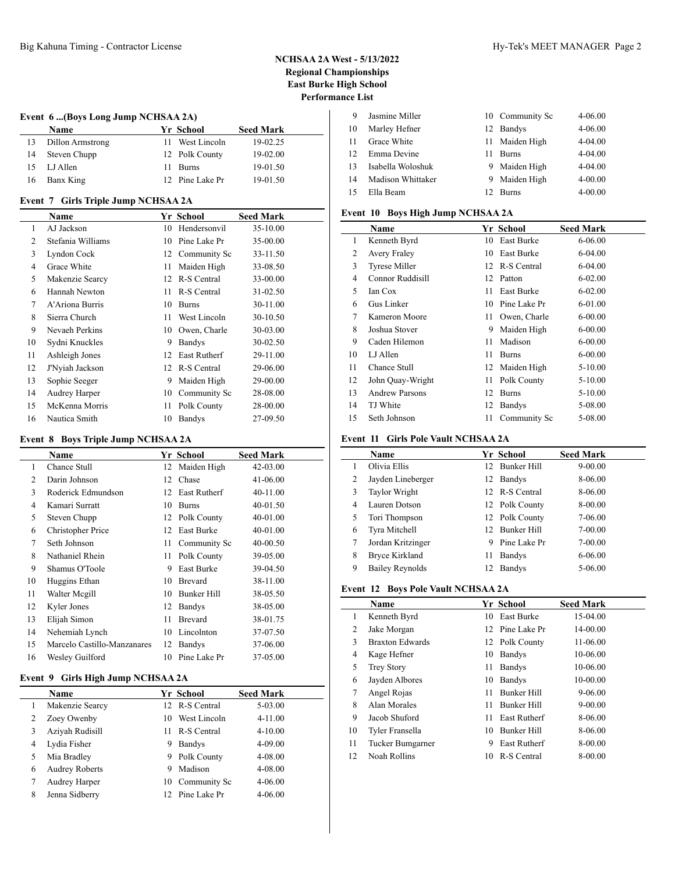### **Event 6 ...(Boys Long Jump NCHSAA 2A)**

|    | <b>Name</b>      | Yr School       | <b>Seed Mark</b> |  |
|----|------------------|-----------------|------------------|--|
|    | Dillon Armstrong | 11 West Lincoln | 19-02.25         |  |
| 14 | Steven Chupp     | 12 Polk County  | 19-02.00         |  |
| 15 | LJ Allen         | 11 Burns        | 19-01.50         |  |
| 16 | Banx King        | 12 Pine Lake Pr | 19-01.50         |  |

### **Event 7 Girls Triple Jump NCHSAA 2A**

|                | Name              |    | Yr School           | <b>Seed Mark</b> |  |
|----------------|-------------------|----|---------------------|------------------|--|
| 1              | AJ Jackson        | 10 | Hendersonvil        | 35-10.00         |  |
| $\overline{2}$ | Stefania Williams | 10 | Pine Lake Pr        | 35-00.00         |  |
| 3              | Lyndon Cock       |    | 12 Community Sc     | 33-11.50         |  |
| 4              | Grace White       | 11 | Maiden High         | 33-08.50         |  |
| 5              | Makenzie Searcy   | 12 | R-S Central         | 33-00.00         |  |
| 6              | Hannah Newton     | 11 | R-S Central         | $31 - 02.50$     |  |
| 7              | A'Ariona Burris   | 10 | <b>Burns</b>        | 30-11.00         |  |
| 8              | Sierra Church     | 11 | West Lincoln        | 30-10.50         |  |
| 9              | Nevaeh Perkins    | 10 | Owen, Charle        | 30-03.00         |  |
| 10             | Sydni Knuckles    | 9  | Bandys              | $30 - 02.50$     |  |
| 11             | Ashleigh Jones    | 12 | <b>East Rutherf</b> | 29-11.00         |  |
| 12             | J'Nyiah Jackson   | 12 | R-S Central         | 29-06.00         |  |
| 13             | Sophie Seeger     | 9  | Maiden High         | 29-00.00         |  |
| 14             | Audrey Harper     | 10 | Community Sc        | 28-08.00         |  |
| 15             | McKenna Morris    | 11 | Polk County         | 28-00.00         |  |
| 16             | Nautica Smith     | 10 | Bandys              | 27-09.50         |  |

# **Event 8 Boys Triple Jump NCHSAA 2A**

| $\frac{1}{2}$ |                             |    |                   |                  |  |  |
|---------------|-----------------------------|----|-------------------|------------------|--|--|
|               | Name                        |    | Yr School         | <b>Seed Mark</b> |  |  |
| 1             | Chance Stull                | 12 | Maiden High       | 42-03.00         |  |  |
| 2             | Darin Johnson               | 12 | Chase             | 41-06.00         |  |  |
| 3             | Roderick Edmundson          | 12 | East Rutherf      | 40-11.00         |  |  |
| 4             | Kamari Surratt              | 10 | <b>Burns</b>      | 40-01.50         |  |  |
| 5             | Steven Chupp                |    | 12 Polk County    | 40-01.00         |  |  |
| 6             | Christopher Price           | 12 | <b>East Burke</b> | 40-01.00         |  |  |
| 7             | Seth Johnson                | 11 | Community Sc      | 40-00.50         |  |  |
| 8             | Nathaniel Rhein             | 11 | Polk County       | 39-05.00         |  |  |
| 9             | Shamus O'Toole              | 9  | East Burke        | 39-04.50         |  |  |
| 10            | Huggins Ethan               | 10 | Brevard           | 38-11.00         |  |  |
| 11            | Walter Megill               | 10 | Bunker Hill       | 38-05.50         |  |  |
| 12            | Kyler Jones                 | 12 | Bandys            | 38-05.00         |  |  |
| 13            | Elijah Simon                | 11 | Brevard           | 38-01.75         |  |  |
| 14            | Nehemiah Lynch              | 10 | Lincolnton        | 37-07.50         |  |  |
| 15            | Marcelo Castillo-Manzanares | 12 | Bandys            | 37-06.00         |  |  |
| 16            | Wesley Guilford             | 10 | Pine Lake Pr      | 37-05.00         |  |  |

### **Event 9 Girls High Jump NCHSAA 2A**

 $\overline{a}$ 

|   | Name                  |     | Yr School       | <b>Seed Mark</b> |
|---|-----------------------|-----|-----------------|------------------|
|   | Makenzie Searcy       |     | 12 R-S Central  | 5-03.00          |
|   | Zoey Owenby           | 10. | West Lincoln    | $4 - 11.00$      |
| 3 | Aziyah Rudisill       | 11  | R-S Central     | $4 - 10.00$      |
| 4 | Lydia Fisher          | 9   | <b>Bandys</b>   | $4 - 09.00$      |
|   | Mia Bradley           | 9   | Polk County     | $4 - 08.00$      |
| 6 | <b>Audrey Roberts</b> | 9   | Madison         | $4 - 08.00$      |
|   | Audrey Harper         | 10  | Community Sc    | $4 - 06.00$      |
| 8 | Jenna Sidberry        |     | 12 Pine Lake Pr | $4 - 06.00$      |
|   |                       |     |                 |                  |

| -9 | Jasmine Miller    |                 | 10 Community Sc | 4-06.00     |
|----|-------------------|-----------------|-----------------|-------------|
| 10 | Marley Hefner     |                 | 12 Bandys       | $4 - 06.00$ |
| 11 | Grace White       |                 | 11 Maiden High  | $4 - 04.00$ |
| 12 | Emma Devine       | 11.             | <b>Burns</b>    | 4-04.00     |
| 13 | Isabella Woloshuk |                 | 9 Maiden High   | 4-04.00     |
| 14 | Madison Whittaker |                 | 9 Maiden High   | $4 - 00.00$ |
| 15 | Ella Beam         | 12 <sup>1</sup> | Burns           | $4 - 00.00$ |

## **Event 10 Boys High Jump NCHSAA 2A**

|    | Name                  |    | Yr School    | <b>Seed Mark</b> |
|----|-----------------------|----|--------------|------------------|
| 1  | Kenneth Byrd          | 10 | East Burke   | 6-06.00          |
| 2  | Avery Fraley          | 10 | East Burke   | 6-04.00          |
| 3  | <b>Tyrese Miller</b>  | 12 | R-S Central  | 6-04.00          |
| 4  | Connor Ruddisill      | 12 | Patton       | $6 - 02.00$      |
| 5  | Ian Cox               | 11 | East Burke   | $6 - 02.00$      |
| 6  | Gus Linker            | 10 | Pine Lake Pr | 6-01.00          |
| 7  | Kameron Moore         | 11 | Owen, Charle | $6 - 00.00$      |
| 8  | Joshua Stover         | 9  | Maiden High  | $6 - 00.00$      |
| 9  | Caden Hilemon         | 11 | Madison      | $6 - 00.00$      |
| 10 | LJ Allen              | 11 | <b>Burns</b> | $6 - 00.00$      |
| 11 | Chance Stull          | 12 | Maiden High  | 5-10.00          |
| 12 | John Quay-Wright      | 11 | Polk County  | $5 - 10.00$      |
| 13 | <b>Andrew Parsons</b> | 12 | <b>Burns</b> | $5 - 10.00$      |
| 14 | TJ White              | 12 | Bandys       | 5-08.00          |
| 15 | Seth Johnson          | 11 | Community Sc | 5-08.00          |

#### **Event 11 Girls Pole Vault NCHSAA 2A**

|   | <b>Name</b>       |    | Yr School      | <b>Seed Mark</b> |
|---|-------------------|----|----------------|------------------|
|   | Olivia Ellis      |    | 12 Bunker Hill | $9 - 00.00$      |
| 2 | Jayden Lineberger | 12 | <b>Bandys</b>  | 8-06.00          |
| 3 | Taylor Wright     |    | 12 R-S Central | 8-06.00          |
| 4 | Lauren Dotson     |    | 12 Polk County | 8-00.00          |
| 5 | Tori Thompson     |    | 12 Polk County | 7-06.00          |
| 6 | Tyra Mitchell     |    | 12 Bunker Hill | 7-00.00          |
| 7 | Jordan Kritzinger | 9  | Pine Lake Pr   | 7-00.00          |
| 8 | Bryce Kirkland    | 11 | <b>Bandys</b>  | 6-06.00          |
| 9 | Bailey Reynolds   | 12 | <b>Bandys</b>  | 5-06.00          |

## **Event 12 Boys Pole Vault NCHSAA 2A**

 $\overline{a}$ 

|    | Name                   |     | <b>Yr School</b>    | <b>Seed Mark</b> |  |
|----|------------------------|-----|---------------------|------------------|--|
| 1  | Kenneth Byrd           | 10  | East Burke          | 15-04.00         |  |
| 2  | Jake Morgan            |     | 12 Pine Lake Pr     | 14-00.00         |  |
| 3  | <b>Braxton Edwards</b> |     | 12 Polk County      | 11-06.00         |  |
| 4  | Kage Hefner            | 10  | <b>Bandys</b>       | 10-06.00         |  |
| 5  | <b>Trey Story</b>      | 11  | <b>Bandys</b>       | 10-06.00         |  |
| 6  | Jayden Albores         | 10  | <b>Bandys</b>       | 10-00.00         |  |
| 7  | Angel Rojas            | 11  | <b>Bunker Hill</b>  | $9 - 06.00$      |  |
| 8  | Alan Morales           | 11  | Bunker Hill         | $9 - 00.00$      |  |
| 9  | Jacob Shuford          | 11  | <b>East Rutherf</b> | 8-06.00          |  |
| 10 | Tyler Fransella        | 10  | Bunker Hill         | 8-06.00          |  |
| 11 | Tucker Bumgarner       | 9   | <b>East Rutherf</b> | 8-00.00          |  |
| 12 | Noah Rollins           | 10- | R-S Central         | 8-00.00          |  |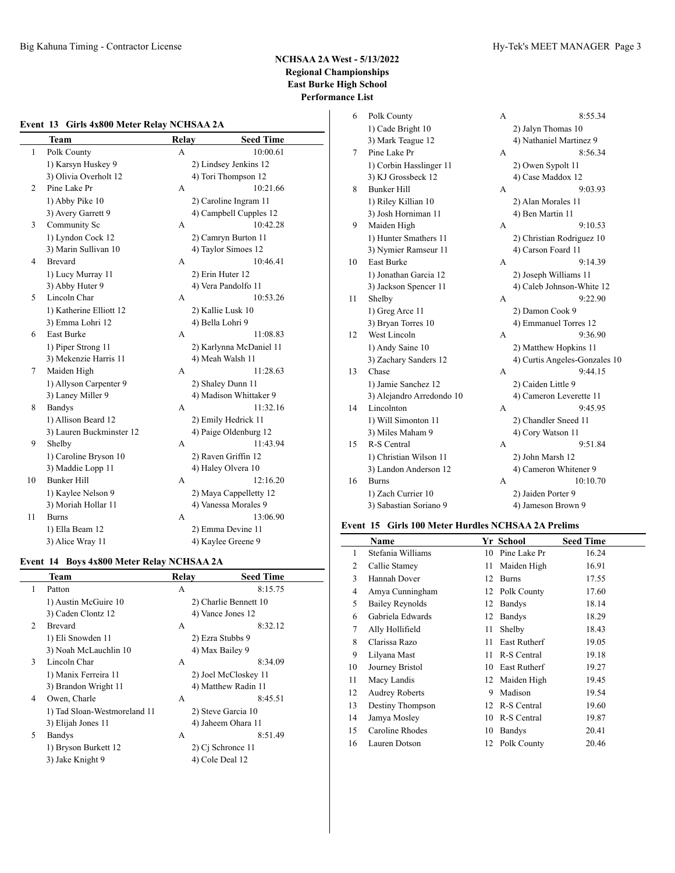|                | <b>Team</b>              | <b>Relay</b> | <b>Seed Time</b>        |
|----------------|--------------------------|--------------|-------------------------|
| $\mathbf{1}$   | Polk County              | A            | 10:00.61                |
|                | 1) Karsyn Huskey 9       |              | 2) Lindsey Jenkins 12   |
|                | 3) Olivia Overholt 12    |              | 4) Tori Thompson 12     |
| $\overline{c}$ | Pine Lake Pr             | A            | 10:21.66                |
|                | 1) Abby Pike 10          |              | 2) Caroline Ingram 11   |
|                | 3) Avery Garrett 9       |              | 4) Campbell Cupples 12  |
| 3              | Community Sc             | А            | 10:42.28                |
|                | 1) Lyndon Cock 12        |              | 2) Camryn Burton 11     |
|                | 3) Marin Sullivan 10     |              | 4) Taylor Simoes 12     |
| 4              | <b>Brevard</b>           | A            | 10:46.41                |
|                | 1) Lucy Murray 11        |              | 2) Erin Huter 12        |
|                | 3) Abby Huter 9          |              | 4) Vera Pandolfo 11     |
| 5              | Lincoln Char             | А            | 10:53.26                |
|                | 1) Katherine Elliott 12  |              | 2) Kallie Lusk 10       |
|                | 3) Emma Lohri 12         |              | 4) Bella Lohri 9        |
| 6              | East Burke               | A            | 11:08.83                |
|                | 1) Piper Strong 11       |              | 2) Karlynna McDaniel 11 |
|                | 3) Mekenzie Harris 11    |              | 4) Meah Walsh 11        |
| $\tau$         | Maiden High              | A            | 11:28.63                |
|                | 1) Allyson Carpenter 9   |              | 2) Shaley Dunn 11       |
|                | 3) Laney Miller 9        |              | 4) Madison Whittaker 9  |
| 8              | <b>Bandys</b>            | A            | 11:32.16                |
|                | 1) Allison Beard 12      |              | 2) Emily Hedrick 11     |
|                | 3) Lauren Buckminster 12 |              | 4) Paige Oldenburg 12   |
| 9              | Shelby                   | A            | 11:43.94                |
|                | 1) Caroline Bryson 10    |              | 2) Raven Griffin 12     |
|                | 3) Maddie Lopp 11        |              | 4) Haley Olvera 10      |
| 10             | <b>Bunker Hill</b>       | А            | 12:16.20                |
|                | 1) Kaylee Nelson 9       |              | 2) Maya Cappelletty 12  |
|                | 3) Moriah Hollar 11      |              | 4) Vanessa Morales 9    |
| 11             | <b>Burns</b>             | A            | 13:06.90                |
|                | 1) Ella Beam 12          |              | 2) Emma Devine 11       |
|                | 3) Alice Wray 11         |              | 4) Kaylee Greene 9      |

# **Event 14 Boys 4x800 Meter Relay NCHSAA 2A**

|   | Team                         | Relay | <b>Seed Time</b>      |
|---|------------------------------|-------|-----------------------|
| 1 | Patton                       | А     | 8:15.75               |
|   | 1) Austin McGuire 10         |       | 2) Charlie Bennett 10 |
|   | 3) Caden Clontz 12           |       | 4) Vance Jones 12     |
| 2 | <b>Brevard</b>               | A     | 8:32.12               |
|   | 1) Eli Snowden 11            |       | 2) Ezra Stubbs 9      |
|   | 3) Noah McLauchlin 10        |       | 4) Max Bailey 9       |
| 3 | Lincoln Char                 | A     | 8:34.09               |
|   | 1) Manix Ferreira 11         |       | 2) Joel McCloskey 11  |
|   | 3) Brandon Wright 11         |       | 4) Matthew Radin 11   |
| 4 | Owen, Charle                 | A     | 8:45.51               |
|   | 1) Tad Sloan-Westmoreland 11 |       | 2) Steve Garcia 10    |
|   | 3) Elijah Jones 11           |       | 4) Jaheem Ohara 11    |
| 5 | <b>Bandys</b>                | А     | 8:51.49               |
|   | 1) Bryson Burkett 12         |       | 2) Cj Schronce 11     |
|   | 3) Jake Knight 9             |       | 4) Cole Deal 12       |
|   |                              |       |                       |

| 6  | Polk County               | A | 8:55.34                       |
|----|---------------------------|---|-------------------------------|
|    | 1) Cade Bright 10         |   | 2) Jalyn Thomas 10            |
|    | 3) Mark Teague 12         |   | 4) Nathaniel Martinez 9       |
| 7  | Pine Lake Pr              | A | 8:56.34                       |
|    | 1) Corbin Hasslinger 11   |   | 2) Owen Sypolt 11             |
|    | 3) KJ Grossbeck 12        |   | 4) Case Maddox 12             |
| 8  | <b>Bunker Hill</b>        | A | 9:03.93                       |
|    | 1) Riley Killian 10       |   | 2) Alan Morales 11            |
|    | 3) Josh Horniman 11       |   | 4) Ben Martin 11              |
| 9  | Maiden High               | A | 9:10.53                       |
|    | 1) Hunter Smathers 11     |   | 2) Christian Rodriguez 10     |
|    | 3) Nymier Ramseur 11      |   | 4) Carson Foard 11            |
| 10 | <b>East Burke</b>         | A | 9:14.39                       |
|    | 1) Jonathan Garcia 12     |   | 2) Joseph Williams 11         |
|    | 3) Jackson Spencer 11     |   | 4) Caleb Johnson-White 12     |
| 11 | Shelby                    | A | 9:22.90                       |
|    | 1) Greg Arce 11           |   | 2) Damon Cook 9               |
|    | 3) Bryan Torres 10        |   | 4) Emmanuel Torres 12         |
| 12 | West Lincoln              | A | 9:36.90                       |
|    | 1) Andy Saine 10          |   | 2) Matthew Hopkins 11         |
|    | 3) Zachary Sanders 12     |   | 4) Curtis Angeles-Gonzales 10 |
| 13 | Chase                     | А | 9:44.15                       |
|    | 1) Jamie Sanchez 12       |   | 2) Caiden Little 9            |
|    | 3) Alejandro Arredondo 10 |   | 4) Cameron Leverette 11       |
| 14 | Lincolnton                | A | 9:45.95                       |
|    | 1) Will Simonton 11       |   | 2) Chandler Sneed 11          |
|    | 3) Miles Maham 9          |   | 4) Cory Watson 11             |
| 15 | R-S Central               | А | 9:51.84                       |
|    | 1) Christian Wilson 11    |   | 2) John Marsh 12              |
|    | 3) Landon Anderson 12     |   | 4) Cameron Whitener 9         |
| 16 | <b>Burns</b>              | A | 10:10.70                      |
|    | 1) Zach Currier 10        |   | 2) Jaiden Porter 9            |
|    | 3) Sabastian Soriano 9    |   | 4) Jameson Brown 9            |
|    |                           |   |                               |

## **Event 15 Girls 100 Meter Hurdles NCHSAA 2A Prelims**

|    | Name                  |    | Yr School           | <b>Seed Time</b> |
|----|-----------------------|----|---------------------|------------------|
| 1  | Stefania Williams     | 10 | Pine Lake Pr        | 16.24            |
| 2  | Callie Stamey         | 11 | Maiden High         | 16.91            |
| 3  | Hannah Dover          | 12 | <b>Burns</b>        | 17.55            |
| 4  | Amya Cunningham       | 12 | Polk County         | 17.60            |
| 5  | Bailey Reynolds       | 12 | Bandys              | 18.14            |
| 6  | Gabriela Edwards      | 12 | Bandys              | 18.29            |
| 7  | Ally Hollifield       | 11 | Shelby              | 18.43            |
| 8  | Clarissa Razo         | 11 | <b>East Rutherf</b> | 19.05            |
| 9  | Lilyana Mast          | 11 | R-S Central         | 19.18            |
| 10 | Journey Bristol       | 10 | <b>East Rutherf</b> | 19.27            |
| 11 | Macy Landis           | 12 | Maiden High         | 19.45            |
| 12 | <b>Audrey Roberts</b> | 9  | Madison             | 19.54            |
| 13 | Destiny Thompson      | 12 | R-S Central         | 19.60            |
| 14 | Jamya Mosley          | 10 | R-S Central         | 19.87            |
| 15 | Caroline Rhodes       | 10 | Bandys              | 20.41            |
| 16 | Lauren Dotson         | 12 | Polk County         | 20.46            |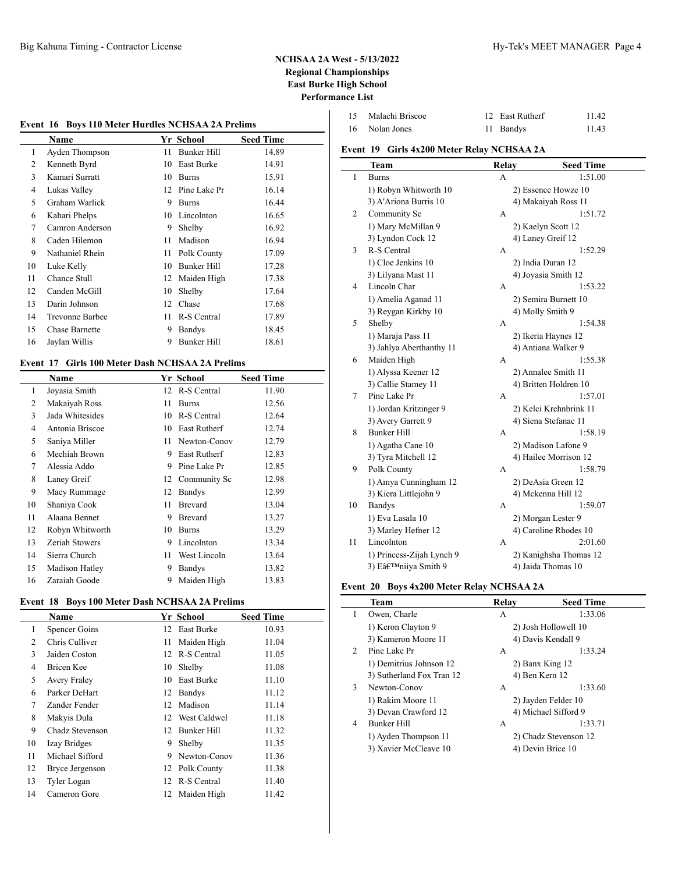# **Event 16 Boys 110 Meter Hurdles NCHSAA 2A Prelims**

|    | Name                  |    | Yr School     | <b>Seed Time</b> |
|----|-----------------------|----|---------------|------------------|
| 1  | Ayden Thompson        | 11 | Bunker Hill   | 14.89            |
| 2  | Kenneth Byrd          | 10 | East Burke    | 14.91            |
| 3  | Kamari Surratt        | 10 | <b>Burns</b>  | 15.91            |
| 4  | Lukas Valley          | 12 | Pine Lake Pr  | 16.14            |
| 5  | Graham Warlick        | 9  | <b>Burns</b>  | 16.44            |
| 6  | Kahari Phelps         | 10 | Lincolnton    | 16.65            |
| 7  | Camron Anderson       | 9  | Shelby        | 16.92            |
| 8  | Caden Hilemon         | 11 | Madison       | 16.94            |
| 9  | Nathaniel Rhein       | 11 | Polk County   | 17.09            |
| 10 | Luke Kelly            | 10 | Bunker Hill   | 17.28            |
| 11 | Chance Stull          | 12 | Maiden High   | 17.38            |
| 12 | Canden McGill         | 10 | Shelby        | 17.64            |
| 13 | Darin Johnson         | 12 | Chase         | 17.68            |
| 14 | Trevonne Barbee       | 11 | R-S Central   | 17.89            |
| 15 | <b>Chase Barnette</b> | 9  | <b>Bandys</b> | 18.45            |
| 16 | Jaylan Willis         | 9  | Bunker Hill   | 18.61            |

## **Event 17 Girls 100 Meter Dash NCHSAA 2A Prelims**

 $\overline{a}$ 

|                | Name            |    | Yr School      | <b>Seed Time</b> |
|----------------|-----------------|----|----------------|------------------|
| 1              | Joyasia Smith   | 12 | R-S Central    | 11.90            |
| 2              | Makaiyah Ross   | 11 | <b>Burns</b>   | 12.56            |
| 3              | Jada Whitesides | 10 | R-S Central    | 12.64            |
| $\overline{4}$ | Antonia Briscoe | 10 | East Rutherf   | 12.74            |
| 5              | Saniya Miller   | 11 | Newton-Conov   | 12.79            |
| 6              | Mechiah Brown   | 9  | East Rutherf   | 12.83            |
| 7              | Alessia Addo    | 9  | Pine Lake Pr   | 12.85            |
| 8              | Laney Greif     | 12 | Community Sc   | 12.98            |
| 9              | Macy Rummage    | 12 | Bandys         | 12.99            |
| 10             | Shaniya Cook    | 11 | Brevard        | 13.04            |
| 11             | Alaana Bennet   | 9  | <b>Brevard</b> | 13.27            |
| 12             | Robyn Whitworth | 10 | <b>Burns</b>   | 13.29            |
| 13             | Zeriah Stowers  | 9  | Lincolnton     | 13.34            |
| 14             | Sierra Church   | 11 | West Lincoln   | 13.64            |
| 15             | Madison Hatley  | 9  | Bandys         | 13.82            |
| 16             | Zaraiah Goode   | 9  | Maiden High    | 13.83            |

### **Event 18 Boys 100 Meter Dash NCHSAA 2A Prelims**

|    | Name                 |    | Yr School         | <b>Seed Time</b> |
|----|----------------------|----|-------------------|------------------|
| 1  | <b>Spencer Goins</b> | 12 | East Burke        | 10.93            |
| 2  | Chris Culliver       | 11 | Maiden High       | 11.04            |
| 3  | Jaiden Coston        | 12 | R-S Central       | 11.05            |
| 4  | Bricen Kee           | 10 | Shelby            | 11.08            |
| 5  | <b>Avery Fraley</b>  | 10 | <b>East Burke</b> | 11.10            |
| 6  | Parker DeHart        | 12 | <b>Bandys</b>     | 11.12            |
| 7  | Zander Fender        | 12 | Madison           | 11.14            |
| 8  | Makyis Dula          | 12 | West Caldwel      | 11.18            |
| 9  | Chadz Stevenson      | 12 | Bunker Hill       | 11.32            |
| 10 | Izay Bridges         | 9  | Shelby            | 11.35            |
| 11 | Michael Sifford      | 9  | Newton-Conov      | 11.36            |
| 12 | Bryce Jergenson      |    | 12 Polk County    | 11.38            |
| 13 | Tyler Logan          | 12 | R-S Central       | 11.40            |
| 14 | Cameron Gore         | 12 | Maiden High       | 11.42            |
|    |                      |    |                   |                  |

| 15 | Malachi Briscoe | 12 East Rutherf | 11.42 |
|----|-----------------|-----------------|-------|
|    | 16 Nolan Jones  | 11 Bandys       | 11.43 |

## **Event 19 Girls 4x200 Meter Relay NCHSAA 2A**

|                | Team                      | <b>Relay</b> | <b>Seed Time</b>       |
|----------------|---------------------------|--------------|------------------------|
| 1              | <b>Burns</b>              | А            | 1:51.00                |
|                | 1) Robyn Whitworth 10     |              | 2) Essence Howze 10    |
|                | 3) A'Ariona Burris 10     |              | 4) Makaiyah Ross 11    |
| 2              | Community Sc              | А            | 1:51.72                |
|                | 1) Mary McMillan 9        |              | 2) Kaelyn Scott 12     |
|                | 3) Lyndon Cock 12         |              | 4) Laney Greif 12      |
| 3              | R-S Central               | А            | 1:52.29                |
|                | 1) Cloe Jenkins 10        |              | 2) India Duran 12      |
|                | 3) Lilyana Mast 11        |              | 4) Joyasia Smith 12    |
| $\overline{4}$ | Lincoln Char              | А            | 1:53.22                |
|                | 1) Amelia Aganad 11       |              | 2) Semira Burnett 10   |
|                | 3) Reygan Kirkby 10       |              | 4) Molly Smith 9       |
| 5              | Shelby                    | А            | 1:54.38                |
|                | 1) Maraja Pass 11         |              | 2) Ikeria Haynes 12    |
|                | 3) Jahlya Aberthanthy 11  |              | 4) Antiana Walker 9    |
| 6              | Maiden High               | А            | 1:55.38                |
|                | 1) Alyssa Keener 12       |              | 2) Annalee Smith 11    |
|                | 3) Callie Stamey 11       |              | 4) Britten Holdren 10  |
| 7              | Pine Lake Pr              | А            | 1:57.01                |
|                | 1) Jordan Kritzinger 9    |              | 2) Kelci Krehnbrink 11 |
|                | 3) Avery Garrett 9        |              | 4) Siena Stefanac 11   |
| 8              | <b>Bunker Hill</b>        | A            | 1:58.19                |
|                | 1) Agatha Cane 10         |              | 2) Madison Lafone 9    |
|                | 3) Tyra Mitchell 12       |              | 4) Hailee Morrison 12  |
| 9              | Polk County               | A            | 1:58.79                |
|                | 1) Amya Cunningham 12     |              | 2) DeAsia Green 12     |
|                | 3) Kiera Littlejohn 9     |              | 4) Mckenna Hill 12     |
| 10             | <b>Bandys</b>             | А            | 1:59.07                |
|                | 1) Eva Lasala 10          |              | 2) Morgan Lester 9     |
|                | 3) Marley Hefner 12       |              | 4) Caroline Rhodes 10  |
| 11             | Lincolnton                | A            | 2:01.60                |
|                | 1) Princess-Zijah Lynch 9 |              | 2) Kanighsha Thomas 12 |
|                | 3) E'niiya Smith 9        |              | 4) Jaida Thomas 10     |

### **Event 20 Boys 4x200 Meter Relay NCHSAA 2A**

|                | Team                      | Relay | <b>Seed Time</b>      |
|----------------|---------------------------|-------|-----------------------|
| 1              | Owen, Charle              | A     | 1:33.06               |
|                | 1) Keron Clayton 9        |       | 2) Josh Hollowell 10  |
|                | 3) Kameron Moore 11       |       | 4) Davis Kendall 9    |
| $\mathfrak{D}$ | Pine Lake Pr              | A     | 1:33.24               |
|                | 1) Demitrius Johnson 12   |       | 2) Banx King 12       |
|                | 3) Sutherland Fox Tran 12 |       | 4) Ben Kern 12        |
| 3              | Newton-Conov              | A     | 1:33.60               |
|                | 1) Rakim Moore 11         |       | 2) Jayden Felder 10   |
|                | 3) Devan Crawford 12      |       | 4) Michael Sifford 9  |
| 4              | <b>Bunker Hill</b>        | A     | 1:33.71               |
|                | 1) Ayden Thompson 11      |       | 2) Chadz Stevenson 12 |
|                | 3) Xavier McCleave 10     |       | 4) Devin Brice 10     |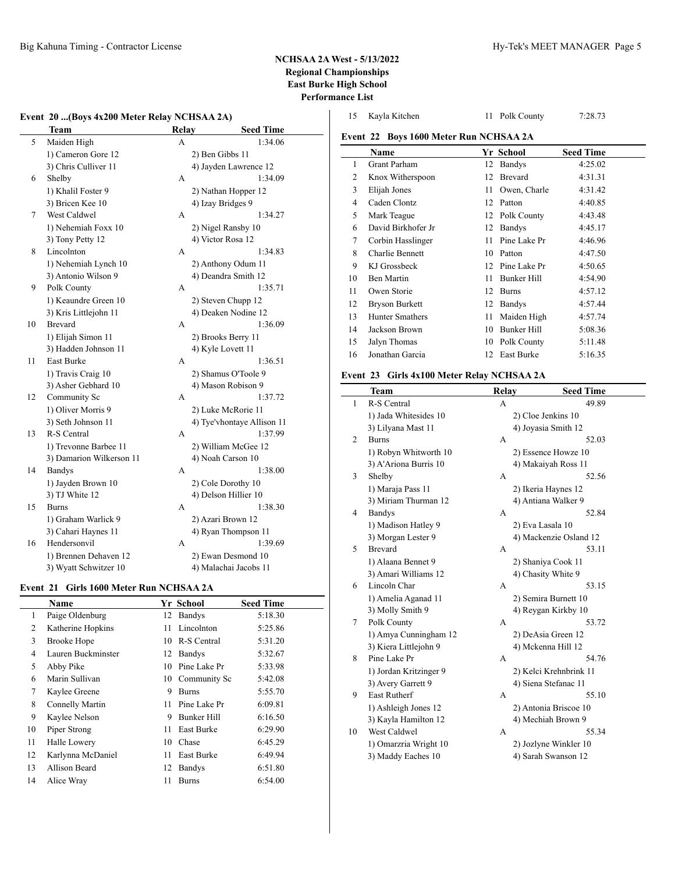$\overline{\phantom{0}}$ 

# **NCHSAA 2A West - 5/13/2022 Regional Championships East Burke High School Performance List**

# **Event 20 ...(Boys 4x200 Meter Relay NCHSAA 2A)**

|    | 20 (D0ys TA200 MCWI RUAY INCHISTATION |              |                            |
|----|---------------------------------------|--------------|----------------------------|
|    | Team                                  | <b>Relay</b> | <b>Seed Time</b>           |
| 5  | Maiden High                           | A            | 1:34.06                    |
|    | 1) Cameron Gore 12                    |              | 2) Ben Gibbs 11            |
|    | 3) Chris Culliver 11                  |              | 4) Jayden Lawrence 12      |
| 6  | Shelby                                | А            | 1:34.09                    |
|    | 1) Khalil Foster 9                    |              | 2) Nathan Hopper 12        |
|    | 3) Bricen Kee 10                      |              | 4) Izay Bridges 9          |
| 7  | West Caldwel                          | A            | 1:34.27                    |
|    | 1) Nehemiah Foxx 10                   |              | 2) Nigel Ransby 10         |
|    | 3) Tony Petty 12                      |              | 4) Victor Rosa 12          |
| 8  | Lincolnton                            | А            | 1:34.83                    |
|    | 1) Nehemiah Lynch 10                  |              | 2) Anthony Odum 11         |
|    | 3) Antonio Wilson 9                   |              | 4) Deandra Smith 12        |
| 9  | Polk County                           | А            | 1:35.71                    |
|    | 1) Keaundre Green 10                  |              | 2) Steven Chupp 12         |
|    | 3) Kris Littlejohn 11                 |              | 4) Deaken Nodine 12        |
| 10 | Brevard                               | A            | 1:36.09                    |
|    | 1) Elijah Simon 11                    |              | 2) Brooks Berry 11         |
|    | 3) Hadden Johnson 11                  |              | 4) Kyle Lovett 11          |
| 11 | East Burke                            | А            | 1:36.51                    |
|    | 1) Travis Craig 10                    |              | 2) Shamus O'Toole 9        |
|    | 3) Asher Gebhard 10                   |              | 4) Mason Robison 9         |
| 12 | Community Sc                          | A            | 1:37.72                    |
|    | 1) Oliver Morris 9                    |              | 2) Luke McRorie 11         |
|    | 3) Seth Johnson 11                    |              | 4) Tye'vhontaye Allison 11 |
| 13 | R-S Central                           | А            | 1:37.99                    |
|    | 1) Trevonne Barbee 11                 |              | 2) William McGee 12        |
|    | 3) Damarion Wilkerson 11              |              | 4) Noah Carson 10          |
| 14 | <b>Bandys</b>                         | А            | 1:38.00                    |
|    | 1) Jayden Brown 10                    |              | 2) Cole Dorothy 10         |
|    | 3) TJ White 12                        |              | 4) Delson Hillier 10       |
| 15 | Burns                                 | А            | 1:38.30                    |
|    | 1) Graham Warlick 9                   |              | 2) Azari Brown 12          |
|    | 3) Cahari Haynes 11                   |              | 4) Ryan Thompson 11        |
| 16 | Hendersonvil                          | А            | 1:39.69                    |
|    | 1) Brennen Dehaven 12                 |              | 2) Ewan Desmond 10         |
|    | 3) Wyatt Schwitzer 10                 |              | 4) Malachai Jacobs 11      |
|    |                                       |              |                            |

# **Event 21 Girls 1600 Meter Run NCHSAA 2A**

|    | Name               |    | Yr School       | <b>Seed Time</b> |
|----|--------------------|----|-----------------|------------------|
| 1  | Paige Oldenburg    | 12 | Bandys          | 5:18.30          |
| 2  | Katherine Hopkins  | 11 | Lincolnton      | 5:25.86          |
| 3  | <b>Brooke Hope</b> | 10 | R-S Central     | 5:31.20          |
| 4  | Lauren Buckminster | 12 | Bandys          | 5:32.67          |
| 5  | Abby Pike          | 10 | Pine Lake Pr    | 5:33.98          |
| 6  | Marin Sullivan     |    | 10 Community Sc | 5:42.08          |
| 7  | Kaylee Greene      | 9  | <b>Burns</b>    | 5:55.70          |
| 8  | Connelly Martin    | 11 | Pine Lake Pr    | 6:09.81          |
| 9  | Kaylee Nelson      | 9  | Bunker Hill     | 6:16.50          |
| 10 | Piper Strong       | 11 | East Burke      | 6:29.90          |
| 11 | Halle Lowery       | 10 | Chase           | 6:45.29          |
| 12 | Karlynna McDaniel  | 11 | East Burke      | 6:49.94          |
| 13 | Allison Beard      | 12 | Bandys          | 6:51.80          |
| 14 | Alice Wray         | 11 | <b>Burns</b>    | 6:54.00          |
|    |                    |    |                 |                  |

| 15 | Kayla Kitchen                          | 11 | Polk County    | 7:28.73          |
|----|----------------------------------------|----|----------------|------------------|
|    | Event 22 Boys 1600 Meter Run NCHSAA 2A |    |                |                  |
|    | Name                                   |    | Yr School      | <b>Seed Time</b> |
| 1  | Grant Parham                           | 12 | <b>Bandys</b>  | 4:25.02          |
| 2  | Knox Witherspoon                       | 12 | <b>Brevard</b> | 4:31.31          |
| 3  | Elijah Jones                           | 11 | Owen, Charle   | 4:31.42          |
| 4  | Caden Clontz                           | 12 | Patton         | 4:40.85          |
| 5  | Mark Teague                            | 12 | Polk County    | 4:43.48          |
| 6  | David Birkhofer Jr                     | 12 | <b>Bandys</b>  | 4:45.17          |
| 7  | Corbin Hasslinger                      | 11 | Pine Lake Pr   | 4:46.96          |
| 8  | Charlie Bennett                        | 10 | Patton         | 4:47.50          |
| 9  | KJ Grossbeck                           | 12 | Pine Lake Pr   | 4:50.65          |
| 10 | <b>Ben Martin</b>                      | 11 | Bunker Hill    | 4:54.90          |
| 11 | Owen Storie                            | 12 | <b>Burns</b>   | 4:57.12          |
| 12 | <b>Bryson Burkett</b>                  | 12 | <b>Bandys</b>  | 4:57.44          |
| 13 | Hunter Smathers                        | 11 | Maiden High    | 4:57.74          |
| 14 | Jackson Brown                          | 10 | Bunker Hill    | 5:08.36          |
| 15 | Jalyn Thomas                           | 10 | Polk County    | 5:11.48          |
| 16 | Jonathan Garcia                        | 12 | East Burke     | 5:16.35          |
|    |                                        |    |                |                  |

# **Event 23 Girls 4x100 Meter Relay NCHSAA 2A**

|    | Team                   | Relay | <b>Seed Time</b>       |
|----|------------------------|-------|------------------------|
| 1  | R-S Central            | A     | 49.89                  |
|    | 1) Jada Whitesides 10  |       | 2) Cloe Jenkins 10     |
|    | 3) Lilyana Mast 11     |       | 4) Joyasia Smith 12    |
| 2  | <b>Burns</b>           | А     | 52.03                  |
|    | 1) Robyn Whitworth 10  |       | 2) Essence Howze 10    |
|    | 3) A'Ariona Burris 10  |       | 4) Makaiyah Ross 11    |
| 3  | Shelby                 | A     | 52.56                  |
|    | 1) Maraja Pass 11      |       | 2) Ikeria Haynes 12    |
|    | 3) Miriam Thurman 12   |       | 4) Antiana Walker 9    |
| 4  | <b>Bandys</b>          | A     | 52.84                  |
|    | 1) Madison Hatley 9    |       | 2) Eva Lasala 10       |
|    | 3) Morgan Lester 9     |       | 4) Mackenzie Osland 12 |
| 5  | <b>Brevard</b>         | A     | 53.11                  |
|    | 1) Alaana Bennet 9     |       | 2) Shaniya Cook 11     |
|    | 3) Amari Williams 12   |       | 4) Chasity White 9     |
| 6  | Lincoln Char           | А     | 53.15                  |
|    | 1) Amelia Aganad 11    |       | 2) Semira Burnett 10   |
|    | 3) Molly Smith 9       |       | 4) Reygan Kirkby 10    |
| 7  | Polk County            | A     | 53.72                  |
|    | 1) Amya Cunningham 12  |       | 2) DeAsia Green 12     |
|    | 3) Kiera Littlejohn 9  |       | 4) Mckenna Hill 12     |
| 8  | Pine Lake Pr           | A     | 54.76                  |
|    | 1) Jordan Kritzinger 9 |       | 2) Kelci Krehnbrink 11 |
|    | 3) Avery Garrett 9     |       | 4) Siena Stefanac 11   |
| 9  | <b>East Rutherf</b>    | А     | 55.10                  |
|    | 1) Ashleigh Jones 12   |       | 2) Antonia Briscoe 10  |
|    | 3) Kayla Hamilton 12   |       | 4) Mechiah Brown 9     |
| 10 | West Caldwel           | A     | 55.34                  |
|    | 1) Omarzria Wright 10  |       | 2) Jozlyne Winkler 10  |
|    | 3) Maddy Eaches 10     |       | 4) Sarah Swanson 12    |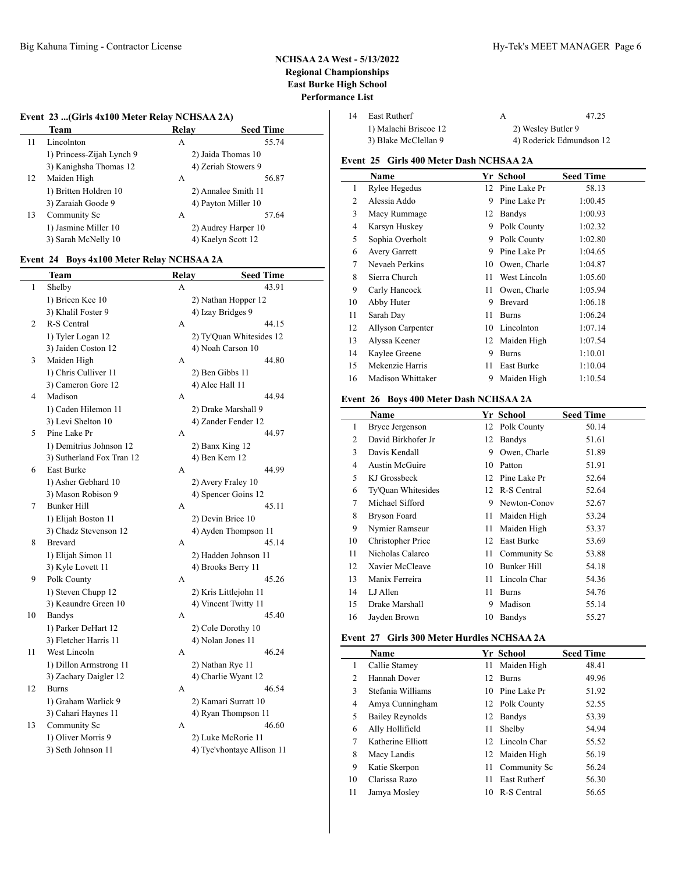## **Event 23 ...(Girls 4x100 Meter Relay NCHSAA 2A)**

|    | Team                      | Relav | <b>Seed Time</b>    |
|----|---------------------------|-------|---------------------|
| 11 | Lincolnton                | А     | 55.74               |
|    | 1) Princess-Zijah Lynch 9 |       | 2) Jaida Thomas 10  |
|    | 3) Kanighsha Thomas 12    |       | 4) Zeriah Stowers 9 |
| 12 | Maiden High               | А     | 56.87               |
|    | 1) Britten Holdren 10     |       | 2) Annalee Smith 11 |
|    | 3) Zaraiah Goode 9        |       | 4) Payton Miller 10 |
| 13 | Community Sc              | А     | 57.64               |
|    | 1) Jasmine Miller 10      |       | 2) Audrey Harper 10 |
|    | 3) Sarah McNelly 10       |       | 4) Kaelyn Scott 12  |

### **Event 24 Boys 4x100 Meter Relay NCHSAA 2A**

|                | Team                      | Relay | <b>Seed Time</b>           |
|----------------|---------------------------|-------|----------------------------|
| 1              | Shelby                    | А     | 43.91                      |
|                | 1) Bricen Kee 10          |       | 2) Nathan Hopper 12        |
|                | 3) Khalil Foster 9        |       | 4) Izay Bridges 9          |
| $\overline{c}$ | R-S Central               | А     | 44.15                      |
|                | 1) Tyler Logan 12         |       | 2) Ty'Quan Whitesides 12   |
|                | 3) Jaiden Coston 12       |       | 4) Noah Carson 10          |
| 3              | Maiden High               | А     | 44.80                      |
|                | 1) Chris Culliver 11      |       | 2) Ben Gibbs 11            |
|                | 3) Cameron Gore 12        |       | 4) Alec Hall 11            |
| 4              | Madison                   | А     | 44.94                      |
|                | 1) Caden Hilemon 11       |       | 2) Drake Marshall 9        |
|                | 3) Levi Shelton 10        |       | 4) Zander Fender 12        |
| 5              | Pine Lake Pr              | А     | 44.97                      |
|                | 1) Demitrius Johnson 12   |       | 2) Banx King 12            |
|                | 3) Sutherland Fox Tran 12 |       | 4) Ben Kern 12             |
| 6              | East Burke                | A     | 44.99                      |
|                | 1) Asher Gebhard 10       |       | 2) Avery Fraley 10         |
|                | 3) Mason Robison 9        |       | 4) Spencer Goins 12        |
| 7              | <b>Bunker Hill</b>        | A     | 45.11                      |
|                | 1) Elijah Boston 11       |       | 2) Devin Brice 10          |
|                | 3) Chadz Stevenson 12     |       | 4) Ayden Thompson 11       |
| 8              | <b>Brevard</b>            | A     | 45.14                      |
|                | 1) Elijah Simon 11        |       | 2) Hadden Johnson 11       |
|                | 3) Kyle Lovett 11         |       | 4) Brooks Berry 11         |
| 9              | Polk County               | А     | 45.26                      |
|                | 1) Steven Chupp 12        |       | 2) Kris Littlejohn 11      |
|                | 3) Keaundre Green 10      |       | 4) Vincent Twitty 11       |
| 10             | <b>Bandys</b>             | A     | 45.40                      |
|                | 1) Parker DeHart 12       |       | 2) Cole Dorothy 10         |
|                | 3) Fletcher Harris 11     |       | 4) Nolan Jones 11          |
| 11             | West Lincoln              | A     | 46.24                      |
|                | 1) Dillon Armstrong 11    |       | 2) Nathan Rye 11           |
|                | 3) Zachary Daigler 12     |       | 4) Charlie Wyant 12        |
| 12             | <b>Burns</b>              | A     | 46.54                      |
|                | 1) Graham Warlick 9       |       | 2) Kamari Surratt 10       |
|                | 3) Cahari Haynes 11       |       | 4) Ryan Thompson 11        |
| 13             | Community Sc              | А     | 46.60                      |
|                | 1) Oliver Morris 9        |       | 2) Luke McRorie 11         |
|                | 3) Seth Johnson 11        |       | 4) Tye'vhontaye Allison 11 |
|                |                           |       |                            |

| 14 | East Rutherf          |                    | 47.25                    |
|----|-----------------------|--------------------|--------------------------|
|    | 1) Malachi Briscoe 12 | 2) Wesley Butler 9 |                          |
|    | 3) Blake McClellan 9  |                    | 4) Roderick Edmundson 12 |

# **Event 25 Girls 400 Meter Dash NCHSAA 2A**

|    | Name                 |    | Yr School      | <b>Seed Time</b> |
|----|----------------------|----|----------------|------------------|
| 1  | Rylee Hegedus        | 12 | Pine Lake Pr   | 58.13            |
| 2  | Alessia Addo         | 9  | Pine Lake Pr   | 1:00.45          |
| 3  | Macy Rummage         | 12 | Bandys         | 1:00.93          |
| 4  | Karsyn Huskey        | 9  | Polk County    | 1:02.32          |
| 5  | Sophia Overholt      | 9  | Polk County    | 1:02.80          |
| 6  | <b>Avery Garrett</b> | 9  | Pine Lake Pr   | 1:04.65          |
| 7  | Nevaeh Perkins       | 10 | Owen, Charle   | 1:04.87          |
| 8  | Sierra Church        | 11 | West Lincoln   | 1:05.60          |
| 9  | Carly Hancock        | 11 | Owen, Charle   | 1:05.94          |
| 10 | Abby Huter           | 9  | <b>Brevard</b> | 1:06.18          |
| 11 | Sarah Day            | 11 | <b>Burns</b>   | 1:06.24          |
| 12 | Allyson Carpenter    | 10 | Lincolnton     | 1:07.14          |
| 13 | Alyssa Keener        |    | 12 Maiden High | 1:07.54          |
| 14 | Kaylee Greene        | 9  | <b>Burns</b>   | 1:10.01          |
| 15 | Mekenzie Harris      | 11 | East Burke     | 1:10.04          |
| 16 | Madison Whittaker    | 9  | Maiden High    | 1:10.54          |

## **Event 26 Boys 400 Meter Dash NCHSAA 2A**

|    | <b>Name</b>            |    | Yr School      | <b>Seed Time</b> |
|----|------------------------|----|----------------|------------------|
| 1  | <b>Bryce Jergenson</b> | 12 | Polk County    | 50.14            |
| 2  | David Birkhofer Jr     | 12 | <b>Bandys</b>  | 51.61            |
| 3  | Davis Kendall          | 9  | Owen, Charle   | 51.89            |
| 4  | <b>Austin McGuire</b>  | 10 | Patton         | 51.91            |
| 5  | KJ Grossbeck           | 12 | Pine Lake Pr   | 52.64            |
| 6  | Ty'Quan Whitesides     |    | 12 R-S Central | 52.64            |
| 7  | Michael Sifford        | 9  | Newton-Conov   | 52.67            |
| 8  | Bryson Foard           | 11 | Maiden High    | 53.24            |
| 9  | Nymier Ramseur         | 11 | Maiden High    | 53.37            |
| 10 | Christopher Price      | 12 | East Burke     | 53.69            |
| 11 | Nicholas Calarco       | 11 | Community Sc   | 53.88            |
| 12 | Xavier McCleave        | 10 | Bunker Hill    | 54.18            |
| 13 | Manix Ferreira         | 11 | Lincoln Char   | 54.36            |
| 14 | LJ Allen               | 11 | <b>Burns</b>   | 54.76            |
| 15 | Drake Marshall         | 9  | Madison        | 55.14            |
| 16 | Jayden Brown           | 10 | Bandys         | 55.27            |

# **Event 27 Girls 300 Meter Hurdles NCHSAA 2A**

|    | <b>Name</b>            |      | Yr School           | <b>Seed Time</b> |
|----|------------------------|------|---------------------|------------------|
| 1  | Callie Stamey          | 11 - | Maiden High         | 48.41            |
| 2  | Hannah Dover           |      | 12 Burns            | 49.96            |
| 3  | Stefania Williams      |      | 10 Pine Lake Pr     | 51.92            |
| 4  | Amya Cunningham        |      | 12 Polk County      | 52.55            |
| 5  | <b>Bailey Reynolds</b> |      | 12 Bandys           | 53.39            |
| 6  | Ally Hollifield        | 11   | Shelby              | 54.94            |
| 7  | Katherine Elliott      |      | 12 Lincoln Char     | 55.52            |
| 8  | Macy Landis            |      | 12 Maiden High      | 56.19            |
| 9  | Katie Skerpon          | 11   | Community Sc        | 56.24            |
| 10 | Clarissa Razo          | 11   | <b>East Rutherf</b> | 56.30            |
| 11 | Jamya Mosley           | 10   | R-S Central         | 56.65            |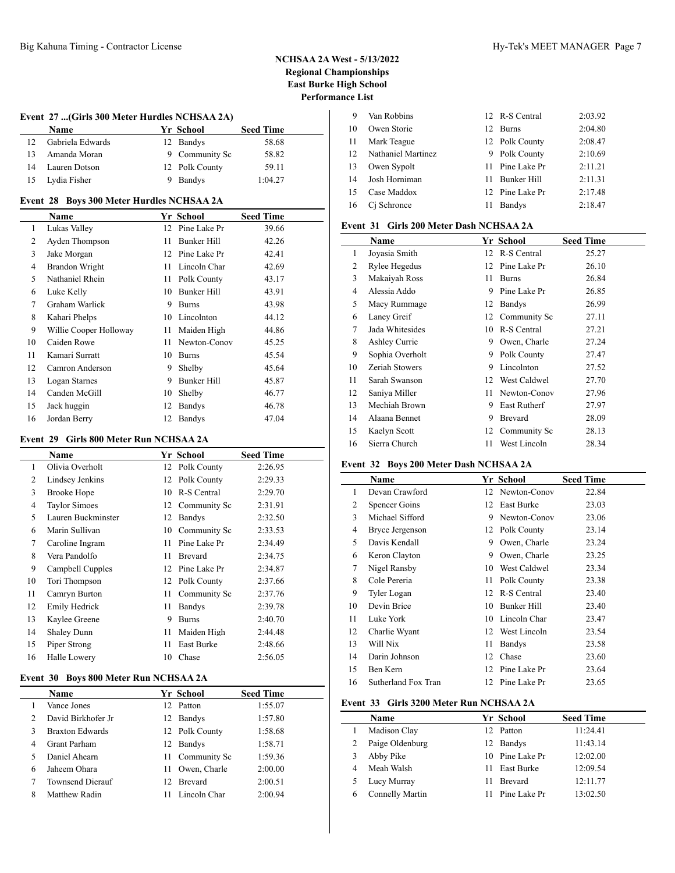## **Event 27 ...(Girls 300 Meter Hurdles NCHSAA 2A)**

|    | <b>Name</b>      | Yr School      | <b>Seed Time</b> |
|----|------------------|----------------|------------------|
|    | Gabriela Edwards | 12 Bandys      | 58.68            |
| 13 | Amanda Moran     | 9 Community Sc | 58.82            |
| 14 | Lauren Dotson    | 12 Polk County | 59.11            |
| 15 | Lydia Fisher     | Bandvs         | 1:04.27          |

### **Event 28 Boys 300 Meter Hurdles NCHSAA 2A**

| $\cdots$ |                        |    |                    |                  |  |  |
|----------|------------------------|----|--------------------|------------------|--|--|
|          | Name                   |    | Yr School          | <b>Seed Time</b> |  |  |
| 1        | Lukas Valley           | 12 | Pine Lake Pr       | 39.66            |  |  |
| 2        | Ayden Thompson         | 11 | Bunker Hill        | 42.26            |  |  |
| 3        | Jake Morgan            |    | 12 Pine Lake Pr    | 42.41            |  |  |
| 4        | <b>Brandon Wright</b>  | 11 | Lincoln Char       | 42.69            |  |  |
| 5        | Nathaniel Rhein        | 11 | Polk County        | 43.17            |  |  |
| 6        | Luke Kelly             | 10 | Bunker Hill        | 43.91            |  |  |
| 7        | Graham Warlick         | 9  | <b>Burns</b>       | 43.98            |  |  |
| 8        | Kahari Phelps          | 10 | Lincolnton         | 44.12            |  |  |
| 9        | Willie Cooper Holloway | 11 | Maiden High        | 44.86            |  |  |
| 10       | Caiden Rowe            | 11 | Newton-Conov       | 45.25            |  |  |
| 11       | Kamari Surratt         | 10 | <b>Burns</b>       | 45.54            |  |  |
| 12       | Camron Anderson        | 9  | Shelby             | 45.64            |  |  |
| 13       | Logan Starnes          | 9  | <b>Bunker Hill</b> | 45.87            |  |  |
| 14       | Canden McGill          | 10 | Shelby             | 46.77            |  |  |
| 15       | Jack huggin            | 12 | Bandys             | 46.78            |  |  |
| 16       | Jordan Berry           | 12 | Bandys             | 47.04            |  |  |

#### **Event 29 Girls 800 Meter Run NCHSAA 2A**

|                | $0.11$ to $0.001$ . The contract of $0.11$ and $0.11$ and $0.11$ and $0.11$ and $0.11$ and $0.11$ and $0.11$ and $0.11$ and $0.11$ and $0.11$ and $0.11$ and $0.11$ and $0.11$ and $0.11$ and $0.11$ and $0.11$ and $0.11$ an |    |                 |                  |  |  |
|----------------|-------------------------------------------------------------------------------------------------------------------------------------------------------------------------------------------------------------------------------|----|-----------------|------------------|--|--|
|                | Name                                                                                                                                                                                                                          |    | Yr School       | <b>Seed Time</b> |  |  |
| 1              | Olivia Overholt                                                                                                                                                                                                               |    | 12 Polk County  | 2:26.95          |  |  |
| $\overline{c}$ | Lindsey Jenkins                                                                                                                                                                                                               | 12 | Polk County     | 2:29.33          |  |  |
| 3              | Brooke Hope                                                                                                                                                                                                                   | 10 | R-S Central     | 2:29.70          |  |  |
| $\overline{4}$ | <b>Taylor Simoes</b>                                                                                                                                                                                                          |    | 12 Community Sc | 2:31.91          |  |  |
| 5              | Lauren Buckminster                                                                                                                                                                                                            | 12 | <b>Bandys</b>   | 2:32.50          |  |  |
| 6              | Marin Sullivan                                                                                                                                                                                                                | 10 | Community Sc    | 2:33.53          |  |  |
| 7              | Caroline Ingram                                                                                                                                                                                                               | 11 | Pine Lake Pr    | 2:34.49          |  |  |
| 8              | Vera Pandolfo                                                                                                                                                                                                                 | 11 | Brevard         | 2:34.75          |  |  |
| 9              | Campbell Cupples                                                                                                                                                                                                              | 12 | Pine Lake Pr    | 2:34.87          |  |  |
| 10             | Tori Thompson                                                                                                                                                                                                                 | 12 | Polk County     | 2:37.66          |  |  |
| 11             | Camryn Burton                                                                                                                                                                                                                 | 11 | Community Sc    | 2:37.76          |  |  |
| 12             | Emily Hedrick                                                                                                                                                                                                                 | 11 | Bandys          | 2:39.78          |  |  |
| 13             | Kaylee Greene                                                                                                                                                                                                                 | 9  | <b>Burns</b>    | 2:40.70          |  |  |
| 14             | <b>Shaley Dunn</b>                                                                                                                                                                                                            | 11 | Maiden High     | 2:44.48          |  |  |
| 15             | Piper Strong                                                                                                                                                                                                                  | 11 | East Burke      | 2:48.66          |  |  |
| 16             | Halle Lowery                                                                                                                                                                                                                  | 10 | Chase           | 2:56.05          |  |  |
|                |                                                                                                                                                                                                                               |    |                 |                  |  |  |

### **Event 30 Boys 800 Meter Run NCHSAA 2A**

|               | <b>Name</b>             |     | Yr School       | <b>Seed Time</b> |
|---------------|-------------------------|-----|-----------------|------------------|
|               | Vance Jones             |     | 12 Patton       | 1:55.07          |
| $\mathcal{L}$ | David Birkhofer Jr      |     | 12 Bandys       | 1:57.80          |
| 3             | <b>Braxton Edwards</b>  |     | 12 Polk County  | 1:58.68          |
| 4             | <b>Grant Parham</b>     |     | 12 Bandys       | 1:58.71          |
| 5             | Daniel Ahearn           |     | 11 Community Sc | 1:59.36          |
| 6             | Jaheem Ohara            | 11  | Owen, Charle    | 2:00.00          |
|               | <b>Townsend Dierauf</b> | 12. | <b>Brevard</b>  | 2:00.51          |
| 8             | Matthew Radin           |     | Lincoln Char    | 2:00.94          |

| -9 | Van Robbins        |    | 12 R-S Central  | 2:03.92 |
|----|--------------------|----|-----------------|---------|
| 10 | Owen Storie        |    | 12 Burns        | 2:04.80 |
| 11 | Mark Teague        |    | 12 Polk County  | 2:08.47 |
| 12 | Nathaniel Martinez |    | 9 Polk County   | 2:10.69 |
| 13 | Owen Sypolt        |    | 11 Pine Lake Pr | 2:11.21 |
| 14 | Josh Horniman      |    | 11 Bunker Hill  | 2:11.31 |
| 15 | Case Maddox        |    | 12 Pine Lake Pr | 2:17.48 |
| 16 | Ci Schronce        | 11 | <b>Bandys</b>   | 2:18.47 |

### **Event 31 Girls 200 Meter Dash NCHSAA 2A**

|    | Name            |    | Yr School      | <b>Seed Time</b> |
|----|-----------------|----|----------------|------------------|
| 1  | Joyasia Smith   | 12 | R-S Central    | 25.27            |
| 2  | Rylee Hegedus   | 12 | Pine Lake Pr   | 26.10            |
| 3  | Makaiyah Ross   | 11 | <b>Burns</b>   | 26.84            |
| 4  | Alessia Addo    | 9  | Pine Lake Pr   | 26.85            |
| 5  | Macy Rummage    | 12 | <b>Bandys</b>  | 26.99            |
| 6  | Laney Greif     | 12 | Community Sc   | 27.11            |
| 7  | Jada Whitesides | 10 | R-S Central    | 27.21            |
| 8  | Ashley Currie   | 9  | Owen, Charle   | 27.24            |
| 9  | Sophia Overholt | 9. | Polk County    | 27.47            |
| 10 | Zeriah Stowers  | 9  | Lincolnton     | 27.52            |
| 11 | Sarah Swanson   | 12 | West Caldwel   | 27.70            |
| 12 | Saniya Miller   | 11 | Newton-Conov   | 27.96            |
| 13 | Mechiah Brown   | 9  | East Rutherf   | 27.97            |
| 14 | Alaana Bennet   | 9  | <b>Brevard</b> | 28.09            |
| 15 | Kaelyn Scott    | 12 | Community Sc   | 28.13            |
| 16 | Sierra Church   | 11 | West Lincoln   | 28.34            |

### **Event 32 Boys 200 Meter Dash NCHSAA 2A**

|    | Name                |    | Yr School      | <b>Seed Time</b> |
|----|---------------------|----|----------------|------------------|
| 1  | Devan Crawford      | 12 | Newton-Conov   | 22.84            |
| 2  | Spencer Goins       | 12 | East Burke     | 23.03            |
| 3  | Michael Sifford     | 9  | Newton-Conov   | 23.06            |
| 4  | Bryce Jergenson     |    | 12 Polk County | 23.14            |
| 5  | Davis Kendall       | 9  | Owen, Charle   | 23.24            |
| 6  | Keron Clayton       | 9  | Owen, Charle   | 23.25            |
| 7  | Nigel Ransby        | 10 | West Caldwel   | 23.34            |
| 8  | Cole Pereria        | 11 | Polk County    | 23.38            |
| 9  | Tyler Logan         | 12 | R-S Central    | 23.40            |
| 10 | Devin Brice         | 10 | Bunker Hill    | 23.40            |
| 11 | Luke York           | 10 | Lincoln Char   | 23.47            |
| 12 | Charlie Wyant       | 12 | West Lincoln   | 23.54            |
| 13 | Will Nix            | 11 | Bandys         | 23.58            |
| 14 | Darin Johnson       | 12 | Chase          | 23.60            |
| 15 | Ben Kern            | 12 | Pine Lake Pr   | 23.64            |
| 16 | Sutherland Fox Tran | 12 | Pine Lake Pr   | 23.65            |

## **Event 33 Girls 3200 Meter Run NCHSAA 2A**

|   | <b>Name</b>     |     | Yr School       | <b>Seed Time</b> |
|---|-----------------|-----|-----------------|------------------|
|   | Madison Clay    |     | 12 Patton       | 11:24.41         |
|   | Paige Oldenburg |     | 12 Bandys       | 11:43.14         |
|   | Abby Pike       |     | 10 Pine Lake Pr | 12:02.00         |
| 4 | Meah Walsh      | 11. | East Burke      | 12:09.54         |
|   | Lucy Murray     | 11. | <b>Brevard</b>  | 12:11.77         |
| 6 | Connelly Martin |     | Pine Lake Pr    | 13:02.50         |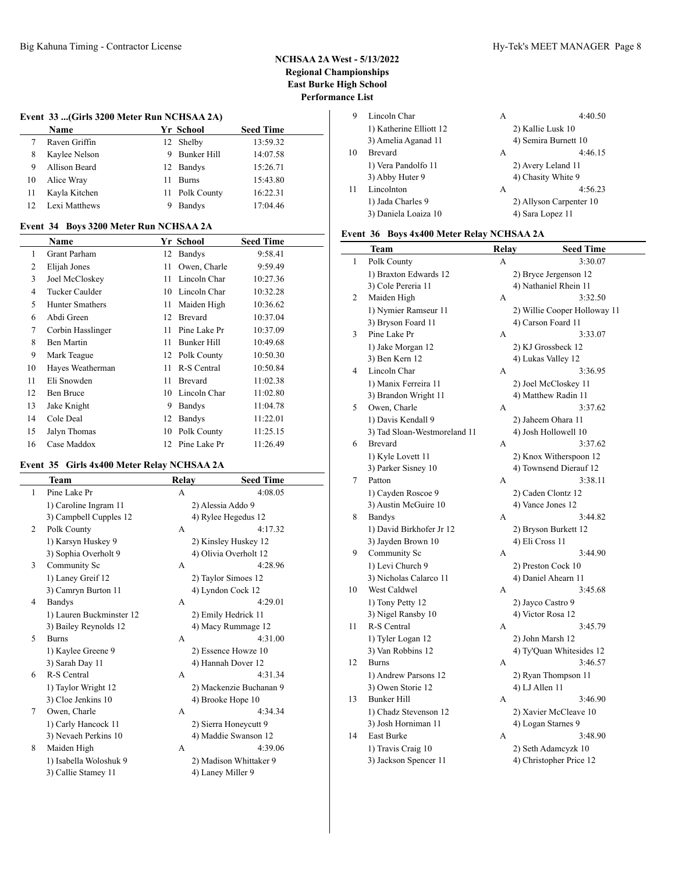### **Event 33 ...(Girls 3200 Meter Run NCHSAA 2A)**

|    | Name          |    | Yr School      | <b>Seed Time</b> |  |
|----|---------------|----|----------------|------------------|--|
|    | Raven Griffin |    | 12 Shelby      | 13:59.32         |  |
| 8  | Kaylee Nelson |    | 9 Bunker Hill  | 14:07.58         |  |
| 9  | Allison Beard |    | 12 Bandys      | 15:26.71         |  |
| 10 | Alice Wray    | 11 | <b>Burns</b>   | 15:43.80         |  |
|    | Kayla Kitchen |    | 11 Polk County | 16:22.31         |  |
|    | Lexi Matthews |    | <b>Bandys</b>  | 17:04.46         |  |

#### **Event 34 Boys 3200 Meter Run NCHSAA 2A**

|    | <b>Name</b>            |    | Yr School      | <b>Seed Time</b> |
|----|------------------------|----|----------------|------------------|
| 1  | <b>Grant Parham</b>    | 12 | Bandys         | 9:58.41          |
| 2  | Elijah Jones           | 11 | Owen, Charle   | 9:59.49          |
| 3  | Joel McCloskey         | 11 | Lincoln Char   | 10:27.36         |
| 4  | Tucker Caulder         | 10 | Lincoln Char   | 10:32.28         |
| 5  | <b>Hunter Smathers</b> | 11 | Maiden High    | 10:36.62         |
| 6  | Abdi Green             | 12 | <b>Brevard</b> | 10:37.04         |
| 7  | Corbin Hasslinger      | 11 | Pine Lake Pr   | 10:37.09         |
| 8  | Ben Martin             | 11 | Bunker Hill    | 10:49.68         |
| 9  | Mark Teague            | 12 | Polk County    | 10:50.30         |
| 10 | Hayes Weatherman       | 11 | R-S Central    | 10:50.84         |
| 11 | Eli Snowden            | 11 | <b>Brevard</b> | 11:02.38         |
| 12 | Ben Bruce              | 10 | Lincoln Char   | 11:02.80         |
| 13 | Jake Knight            | 9  | Bandys         | 11:04.78         |
| 14 | Cole Deal              | 12 | Bandys         | 11:22.01         |
| 15 | Jalyn Thomas           | 10 | Polk County    | 11:25.15         |
| 16 | Case Maddox            | 12 | Pine Lake Pr   | 11:26.49         |

## **Event 35 Girls 4x400 Meter Relay NCHSAA 2A**

|              | <b>Team</b>              | Relay        | <b>Seed Time</b>        |
|--------------|--------------------------|--------------|-------------------------|
| $\mathbf{1}$ | Pine Lake Pr             | A            | 4:08.05                 |
|              | 1) Caroline Ingram 11    |              | 2) Alessia Addo 9       |
|              | 3) Campbell Cupples 12   |              | 4) Rylee Hegedus 12     |
| 2            | Polk County              | A            | 4:17.32                 |
|              | 1) Karsyn Huskey 9       |              | 2) Kinsley Huskey 12    |
|              | 3) Sophia Overholt 9     |              | 4) Olivia Overholt 12   |
| 3            | Community Sc             | A            | 4:28.96                 |
|              | 1) Laney Greif 12        |              | 2) Taylor Simoes 12     |
|              | 3) Camryn Burton 11      |              | 4) Lyndon Cock 12       |
| 4            | <b>Bandys</b>            | $\mathsf{A}$ | 4:29.01                 |
|              | 1) Lauren Buckminster 12 |              | 2) Emily Hedrick 11     |
|              | 3) Bailey Reynolds 12    |              | 4) Macy Rummage 12      |
| 5            | <b>Burns</b>             | A            | 4:31.00                 |
|              | 1) Kaylee Greene 9       |              | 2) Essence Howze 10     |
|              | 3) Sarah Day 11          |              | 4) Hannah Dover 12      |
| 6            | R-S Central              | A            | 4:31.34                 |
|              | 1) Taylor Wright 12      |              | 2) Mackenzie Buchanan 9 |
|              | 3) Cloe Jenkins 10       |              | 4) Brooke Hope 10       |
| 7            | Owen, Charle             | A            | 4:34.34                 |
|              | 1) Carly Hancock 11      |              | 2) Sierra Honeycutt 9   |
|              | 3) Nevaeh Perkins 10     |              | 4) Maddie Swanson 12    |
| 8            | Maiden High              | A            | 4:39.06                 |
|              | 1) Isabella Woloshuk 9   |              | 2) Madison Whittaker 9  |
|              | 3) Callie Stamey 11      |              | 4) Laney Miller 9       |

| 9  | Lincoln Char            | А | 4:40.50                 |
|----|-------------------------|---|-------------------------|
|    | 1) Katherine Elliott 12 |   | 2) Kallie Lusk 10       |
|    | 3) Amelia Aganad 11     |   | 4) Semira Burnett 10    |
| 10 | <b>Brevard</b>          | A | 4:46.15                 |
|    | 1) Vera Pandolfo 11     |   | 2) Avery Leland 11      |
|    | 3) Abby Huter 9         |   | 4) Chasity White 9      |
| 11 | Lincolnton              | A | 4:56.23                 |
|    | 1) Jada Charles 9       |   | 2) Allyson Carpenter 10 |
|    | 3) Daniela Loaiza 10    |   | 4) Sara Lopez 11        |

# **Event 36 Boys 4x400 Meter Relay NCHSAA 2A**

|    | <b>Team</b>                  | <b>Relay</b> | <b>Seed Time</b>             |
|----|------------------------------|--------------|------------------------------|
| 1  | Polk County                  | А            | 3:30.07                      |
|    | 1) Braxton Edwards 12        |              | 2) Bryce Jergenson 12        |
|    | 3) Cole Pereria 11           |              | 4) Nathaniel Rhein 11        |
| 2  | Maiden High                  | А            | 3:32.50                      |
|    | 1) Nymier Ramseur 11         |              | 2) Willie Cooper Holloway 11 |
|    | 3) Bryson Foard 11           |              | 4) Carson Foard 11           |
| 3  | Pine Lake Pr                 | А            | 3:33.07                      |
|    | 1) Jake Morgan 12            |              | 2) KJ Grossbeck 12           |
|    | 3) Ben Kern 12               |              | 4) Lukas Valley 12           |
| 4  | Lincoln Char                 | А            | 3:36.95                      |
|    | 1) Manix Ferreira 11         |              | 2) Joel McCloskey 11         |
|    | 3) Brandon Wright 11         |              | 4) Matthew Radin 11          |
| 5  | Owen, Charle                 | A            | 3:37.62                      |
|    | 1) Davis Kendall 9           |              | 2) Jaheem Ohara 11           |
|    | 3) Tad Sloan-Westmoreland 11 |              | 4) Josh Hollowell 10         |
| 6  | <b>Brevard</b>               | А            | 3:37.62                      |
|    | 1) Kyle Lovett 11            |              | 2) Knox Witherspoon 12       |
|    | 3) Parker Sisney 10          |              | 4) Townsend Dierauf 12       |
| 7  | Patton                       | A            | 3:38.11                      |
|    | 1) Cayden Roscoe 9           |              | 2) Caden Clontz 12           |
|    | 3) Austin McGuire 10         |              | 4) Vance Jones 12            |
| 8  | <b>Bandys</b>                | A            | 3:44.82                      |
|    | 1) David Birkhofer Jr 12     |              | 2) Bryson Burkett 12         |
|    | 3) Jayden Brown 10           |              | 4) Eli Cross 11              |
| 9  | Community Sc                 | А            | 3:44.90                      |
|    | 1) Levi Church 9             |              | 2) Preston Cock 10           |
|    | 3) Nicholas Calarco 11       |              | 4) Daniel Ahearn 11          |
| 10 | West Caldwel                 | А            | 3:45.68                      |
|    | 1) Tony Petty 12             |              | 2) Jayco Castro 9            |
|    | 3) Nigel Ransby 10           |              | 4) Victor Rosa 12            |
| 11 | R-S Central                  | А            | 3:45.79                      |
|    | 1) Tyler Logan 12            |              | 2) John Marsh 12             |
|    | 3) Van Robbins 12            |              | 4) Ty'Quan Whitesides 12     |
| 12 | <b>Burns</b>                 | А            | 3:46.57                      |
|    | 1) Andrew Parsons 12         |              | 2) Ryan Thompson 11          |
|    | 3) Owen Storie 12            |              | 4) LJ Allen 11               |
| 13 | <b>Bunker Hill</b>           | А            | 3:46.90                      |
|    | 1) Chadz Stevenson 12        |              | 2) Xavier McCleave 10        |
|    | 3) Josh Horniman 11          |              | 4) Logan Starnes 9           |
| 14 | East Burke                   | А            | 3:48.90                      |
|    | 1) Travis Craig 10           |              | 2) Seth Adamcyzk 10          |
|    | 3) Jackson Spencer 11        |              | 4) Christopher Price 12      |